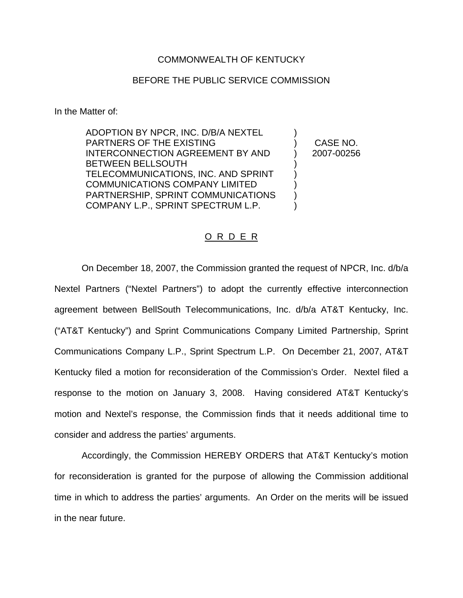## COMMONWEALTH OF KENTUCKY

## BEFORE THE PUBLIC SERVICE COMMISSION

In the Matter of:

ADOPTION BY NPCR, INC. D/B/A NEXTEL PARTNERS OF THE EXISTING INTERCONNECTION AGREEMENT BY AND BETWEEN BELLSOUTH TELECOMMUNICATIONS, INC. AND SPRINT COMMUNICATIONS COMPANY LIMITED PARTNERSHIP, SPRINT COMMUNICATIONS COMPANY L.P., SPRINT SPECTRUM L.P.

) CASE NO. ) 2007-00256

)

) ) ) ) )

## O R D E R

On December 18, 2007, the Commission granted the request of NPCR, Inc. d/b/a Nextel Partners ("Nextel Partners") to adopt the currently effective interconnection agreement between BellSouth Telecommunications, Inc. d/b/a AT&T Kentucky, Inc. ("AT&T Kentucky") and Sprint Communications Company Limited Partnership, Sprint Communications Company L.P., Sprint Spectrum L.P. On December 21, 2007, AT&T Kentucky filed a motion for reconsideration of the Commission's Order. Nextel filed a response to the motion on January 3, 2008. Having considered AT&T Kentucky's motion and Nextel's response, the Commission finds that it needs additional time to consider and address the parties' arguments.

Accordingly, the Commission HEREBY ORDERS that AT&T Kentucky's motion for reconsideration is granted for the purpose of allowing the Commission additional time in which to address the parties' arguments. An Order on the merits will be issued in the near future.